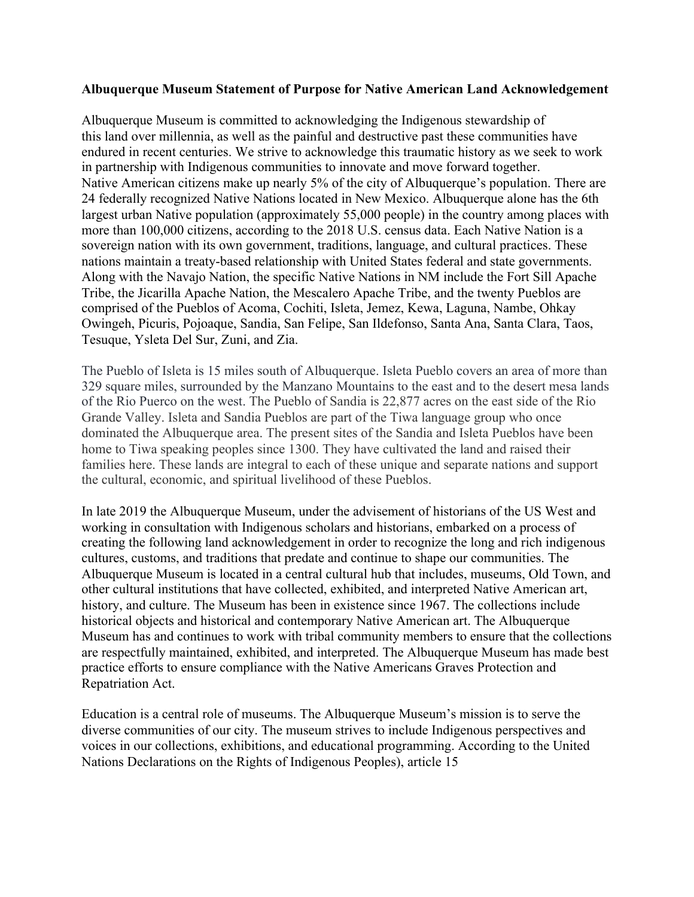## **Albuquerque Museum Statement of Purpose for Native American Land Acknowledgement**

Albuquerque Museum is committed to acknowledging the Indigenous stewardship of this land over millennia, as well as the painful and destructive past these communities have endured in recent centuries. We strive to acknowledge this traumatic history as we seek to work in partnership with Indigenous communities to innovate and move forward together. Native American citizens make up nearly 5% of the city of Albuquerque's population. There are 24 federally recognized Native Nations located in New Mexico. Albuquerque alone has the 6th largest urban Native population (approximately 55,000 people) in the country among places with more than 100,000 citizens, according to the 2018 U.S. census data. Each Native Nation is a sovereign nation with its own government, traditions, language, and cultural practices. These nations maintain a treaty-based relationship with United States federal and state governments. Along with the Navajo Nation, the specific Native Nations in NM include the Fort Sill Apache Tribe, the Jicarilla Apache Nation, the Mescalero Apache Tribe, and the twenty Pueblos are comprised of the Pueblos of Acoma, Cochiti, Isleta, Jemez, Kewa, Laguna, Nambe, Ohkay Owingeh, Picuris, Pojoaque, Sandia, San Felipe, San Ildefonso, Santa Ana, Santa Clara, Taos, Tesuque, Ysleta Del Sur, Zuni, and Zia.

The Pueblo of Isleta is 15 miles south of Albuquerque. Isleta Pueblo covers an area of more than 329 square miles, surrounded by the Manzano Mountains to the east and to the desert mesa lands of the Rio Puerco on the west. The Pueblo of Sandia is 22,877 acres on the east side of the Rio Grande Valley. Isleta and Sandia Pueblos are part of the Tiwa language group who once dominated the Albuquerque area. The present sites of the Sandia and Isleta Pueblos have been home to Tiwa speaking peoples since 1300. They have cultivated the land and raised their families here. These lands are integral to each of these unique and separate nations and support the cultural, economic, and spiritual livelihood of these Pueblos.

In late 2019 the Albuquerque Museum, under the advisement of historians of the US West and working in consultation with Indigenous scholars and historians, embarked on a process of creating the following land acknowledgement in order to recognize the long and rich indigenous cultures, customs, and traditions that predate and continue to shape our communities. The Albuquerque Museum is located in a central cultural hub that includes, museums, Old Town, and other cultural institutions that have collected, exhibited, and interpreted Native American art, history, and culture. The Museum has been in existence since 1967. The collections include historical objects and historical and contemporary Native American art. The Albuquerque Museum has and continues to work with tribal community members to ensure that the collections are respectfully maintained, exhibited, and interpreted. The Albuquerque Museum has made best practice efforts to ensure compliance with the Native Americans Graves Protection and Repatriation Act.

Education is a central role of museums. The Albuquerque Museum's mission is to serve the diverse communities of our city. The museum strives to include Indigenous perspectives and voices in our collections, exhibitions, and educational programming. According to the United Nations Declarations on the Rights of Indigenous Peoples), article 15